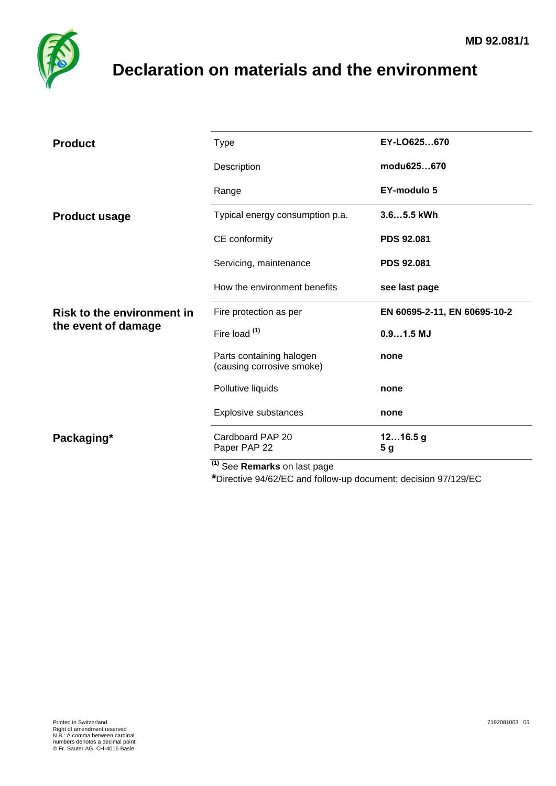

## <span id="page-0-0"></span>**Declaration on materials and the environment**

| <b>Product</b>                                           | <b>Type</b>                                           | EY-LO625670                  |
|----------------------------------------------------------|-------------------------------------------------------|------------------------------|
|                                                          | Description                                           | modu625670                   |
|                                                          | Range                                                 | <b>EY-modulo 5</b>           |
| <b>Product usage</b>                                     | Typical energy consumption p.a.                       | 3.65.5 kWh                   |
|                                                          | CE conformity                                         | <b>PDS 92.081</b>            |
|                                                          | Servicing, maintenance                                | <b>PDS 92.081</b>            |
|                                                          | How the environment benefits                          | see last page                |
| <b>Risk to the environment in</b><br>the event of damage | Fire protection as per                                | EN 60695-2-11, EN 60695-10-2 |
|                                                          | Fire load (1)                                         | $0.91.5$ MJ                  |
|                                                          | Parts containing halogen<br>(causing corrosive smoke) | none                         |
|                                                          | Pollutive liquids                                     | none                         |
|                                                          | Explosive substances                                  | none                         |
| Packaging*                                               | Cardboard PAP 20<br>Paper PAP 22                      | 1216.5g<br>5 g               |
|                                                          | $(1)$ See <b>Remarks</b> on last page                 |                              |

aəı payt

**\***Directive 94/62/EC and follow-up document; decision 97/129/EC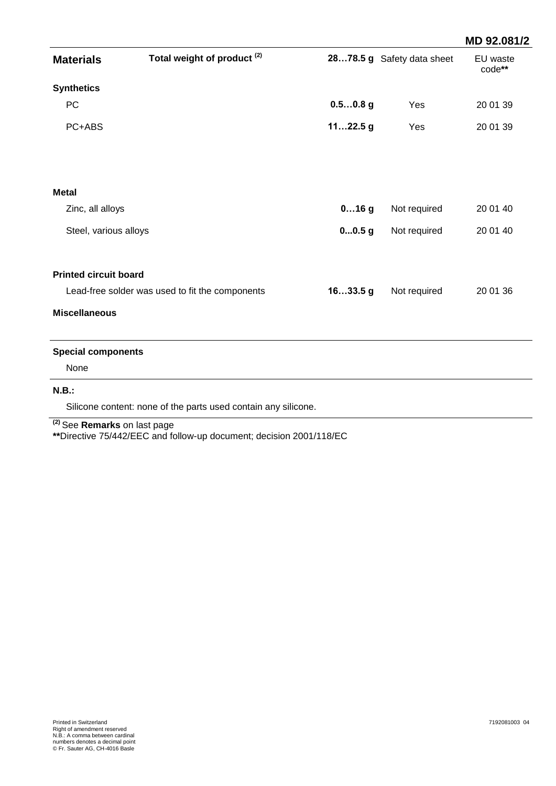|                                                                |            |              | MD 92.081/2                |
|----------------------------------------------------------------|------------|--------------|----------------------------|
| Total weight of product <sup>(2)</sup>                         |            |              | EU waste<br>code**         |
|                                                                |            |              |                            |
|                                                                | $0.50.8$ g | Yes          | 20 01 39                   |
|                                                                | $1122.5$ g | Yes          | 20 01 39                   |
|                                                                |            |              |                            |
|                                                                |            |              |                            |
|                                                                | $016$ g    | Not required | 20 01 40                   |
| Steel, various alloys                                          | 00.5g      | Not required | 20 01 40                   |
| <b>Printed circuit board</b>                                   |            |              |                            |
| Lead-free solder was used to fit the components                | 1633.5g    | Not required | 20 01 36                   |
|                                                                |            |              |                            |
| <b>Special components</b>                                      |            |              |                            |
|                                                                |            |              |                            |
|                                                                |            |              |                            |
| Silicone content: none of the parts used contain any silicone. |            |              |                            |
|                                                                |            |              | 2878.5 g Safety data sheet |